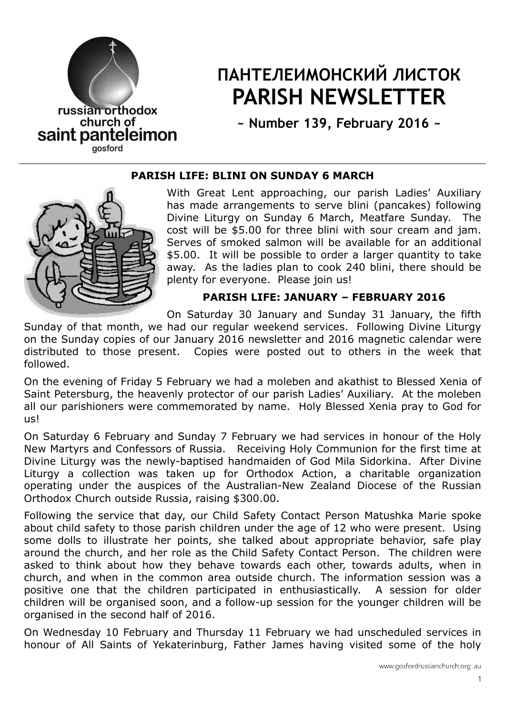

# ПАНТЕЛЕИМОНСКИЙ ЛИСТОК PARISH NEWSLETTER

~ Number 139, February 2016 ~

#### PARISH LIFE: BLINI ON SUNDAY 6 MARCH



With Great Lent approaching, our parish Ladies' Auxiliary has made arrangements to serve blini (pancakes) following Divine Liturgy on Sunday 6 March, Meatfare Sunday. The cost will be \$5.00 for three blini with sour cream and jam. Serves of smoked salmon will be available for an additional \$5.00. It will be possible to order a larger quantity to take away. As the ladies plan to cook 240 blini, there should be plenty for everyone. Please join us!

## PARISH LIFE: JANUARY – FEBRUARY 2016

On Saturday 30 January and Sunday 31 January, the fifth

Sunday of that month, we had our regular weekend services. Following Divine Liturgy on the Sunday copies of our January 2016 newsletter and 2016 magnetic calendar were distributed to those present. Copies were posted out to others in the week that followed.

On the evening of Friday 5 February we had a moleben and akathist to Blessed Xenia of Saint Petersburg, the heavenly protector of our parish Ladies' Auxiliary. At the moleben all our parishioners were commemorated by name. Holy Blessed Xenia pray to God for us!

On Saturday 6 February and Sunday 7 February we had services in honour of the Holy New Martyrs and Confessors of Russia. Receiving Holy Communion for the first time at Divine Liturgy was the newly-baptised handmaiden of God Mila Sidorkina. After Divine Liturgy a collection was taken up for Orthodox Action, a charitable organization operating under the auspices of the Australian-New Zealand Diocese of the Russian Orthodox Church outside Russia, raising \$300.00.

Following the service that day, our Child Safety Contact Person Matushka Marie spoke about child safety to those parish children under the age of 12 who were present. Using some dolls to illustrate her points, she talked about appropriate behavior, safe play around the church, and her role as the Child Safety Contact Person. The children were asked to think about how they behave towards each other, towards adults, when in church, and when in the common area outside church. The information session was a positive one that the children participated in enthusiastically. A session for older children will be organised soon, and a follow-up session for the younger children will be organised in the second half of 2016.

On Wednesday 10 February and Thursday 11 February we had unscheduled services in honour of All Saints of Yekaterinburg, Father James having visited some of the holy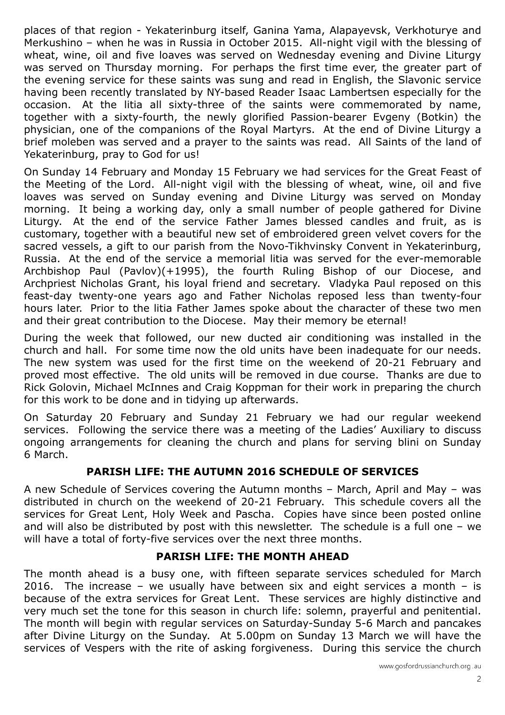places of that region - Yekaterinburg itself, Ganina Yama, Alapayevsk, Verkhoturye and Merkushino – when he was in Russia in October 2015. All-night vigil with the blessing of wheat, wine, oil and five loaves was served on Wednesday evening and Divine Liturgy was served on Thursday morning. For perhaps the first time ever, the greater part of the evening service for these saints was sung and read in English, the Slavonic service having been recently translated by NY-based Reader Isaac Lambertsen especially for the occasion. At the litia all sixty-three of the saints were commemorated by name, together with a sixty-fourth, the newly glorified Passion-bearer Evgeny (Botkin) the physician, one of the companions of the Royal Martyrs. At the end of Divine Liturgy a brief moleben was served and a prayer to the saints was read. All Saints of the land of Yekaterinburg, pray to God for us!

On Sunday 14 February and Monday 15 February we had services for the Great Feast of the Meeting of the Lord. All-night vigil with the blessing of wheat, wine, oil and five loaves was served on Sunday evening and Divine Liturgy was served on Monday morning. It being a working day, only a small number of people gathered for Divine Liturgy. At the end of the service Father James blessed candles and fruit, as is customary, together with a beautiful new set of embroidered green velvet covers for the sacred vessels, a gift to our parish from the Novo-Tikhvinsky Convent in Yekaterinburg, Russia. At the end of the service a memorial litia was served for the ever-memorable Archbishop Paul (Pavlov)(+1995), the fourth Ruling Bishop of our Diocese, and Archpriest Nicholas Grant, his loyal friend and secretary. Vladyka Paul reposed on this feast-day twenty-one years ago and Father Nicholas reposed less than twenty-four hours later. Prior to the litia Father James spoke about the character of these two men and their great contribution to the Diocese. May their memory be eternal!

During the week that followed, our new ducted air conditioning was installed in the church and hall. For some time now the old units have been inadequate for our needs. The new system was used for the first time on the weekend of 20-21 February and proved most effective. The old units will be removed in due course. Thanks are due to Rick Golovin, Michael McInnes and Craig Koppman for their work in preparing the church for this work to be done and in tidying up afterwards.

On Saturday 20 February and Sunday 21 February we had our regular weekend services. Following the service there was a meeting of the Ladies' Auxiliary to discuss ongoing arrangements for cleaning the church and plans for serving blini on Sunday 6 March.

### PARISH LIFE: THE AUTUMN 2016 SCHEDULE OF SERVICES

A new Schedule of Services covering the Autumn months – March, April and May – was distributed in church on the weekend of 20-21 February. This schedule covers all the services for Great Lent, Holy Week and Pascha. Copies have since been posted online and will also be distributed by post with this newsletter. The schedule is a full one – we will have a total of forty-five services over the next three months.

### PARISH LIFE: THE MONTH AHEAD

The month ahead is a busy one, with fifteen separate services scheduled for March 2016. The increase – we usually have between six and eight services a month – is because of the extra services for Great Lent. These services are highly distinctive and very much set the tone for this season in church life: solemn, prayerful and penitential. The month will begin with regular services on Saturday-Sunday 5-6 March and pancakes after Divine Liturgy on the Sunday. At 5.00pm on Sunday 13 March we will have the services of Vespers with the rite of asking forgiveness. During this service the church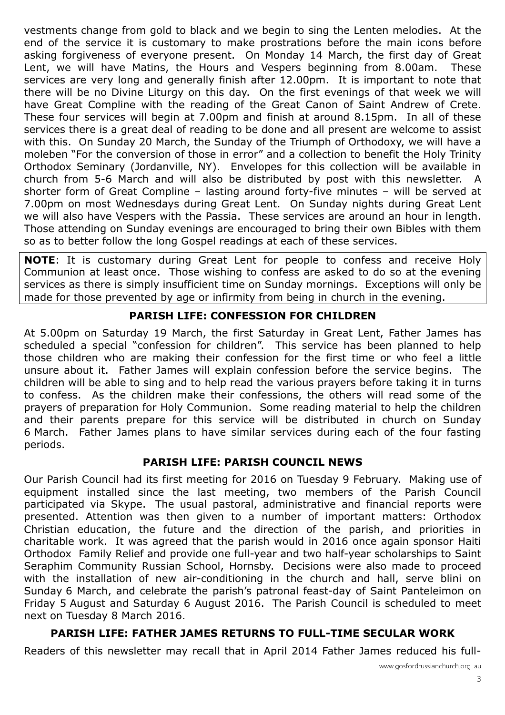vestments change from gold to black and we begin to sing the Lenten melodies. At the end of the service it is customary to make prostrations before the main icons before asking forgiveness of everyone present. On Monday 14 March, the first day of Great Lent, we will have Matins, the Hours and Vespers beginning from 8.00am. These services are very long and generally finish after 12.00pm. It is important to note that there will be no Divine Liturgy on this day. On the first evenings of that week we will have Great Compline with the reading of the Great Canon of Saint Andrew of Crete. These four services will begin at 7.00pm and finish at around 8.15pm. In all of these services there is a great deal of reading to be done and all present are welcome to assist with this. On Sunday 20 March, the Sunday of the Triumph of Orthodoxy, we will have a moleben "For the conversion of those in error" and a collection to benefit the Holy Trinity Orthodox Seminary (Jordanville, NY). Envelopes for this collection will be available in church from 5-6 March and will also be distributed by post with this newsletter. A shorter form of Great Compline – lasting around forty-five minutes – will be served at 7.00pm on most Wednesdays during Great Lent. On Sunday nights during Great Lent we will also have Vespers with the Passia. These services are around an hour in length. Those attending on Sunday evenings are encouraged to bring their own Bibles with them so as to better follow the long Gospel readings at each of these services.

**NOTE:** It is customary during Great Lent for people to confess and receive Holy Communion at least once. Those wishing to confess are asked to do so at the evening services as there is simply insufficient time on Sunday mornings. Exceptions will only be made for those prevented by age or infirmity from being in church in the evening.

## PARISH LIFE: CONFESSION FOR CHILDREN

At 5.00pm on Saturday 19 March, the first Saturday in Great Lent, Father James has scheduled a special "confession for children". This service has been planned to help those children who are making their confession for the first time or who feel a little unsure about it. Father James will explain confession before the service begins. The children will be able to sing and to help read the various prayers before taking it in turns to confess. As the children make their confessions, the others will read some of the prayers of preparation for Holy Communion. Some reading material to help the children and their parents prepare for this service will be distributed in church on Sunday 6 March. Father James plans to have similar services during each of the four fasting periods.

### PARISH LIFE: PARISH COUNCIL NEWS

Our Parish Council had its first meeting for 2016 on Tuesday 9 February. Making use of equipment installed since the last meeting, two members of the Parish Council participated via Skype. The usual pastoral, administrative and financial reports were presented. Attention was then given to a number of important matters: Orthodox Christian education, the future and the direction of the parish, and priorities in charitable work. It was agreed that the parish would in 2016 once again sponsor Haiti Orthodox Family Relief and provide one full-year and two half-year scholarships to Saint Seraphim Community Russian School, Hornsby. Decisions were also made to proceed with the installation of new air-conditioning in the church and hall, serve blini on Sunday 6 March, and celebrate the parish's patronal feast-day of Saint Panteleimon on Friday 5 August and Saturday 6 August 2016. The Parish Council is scheduled to meet next on Tuesday 8 March 2016.

## PARISH LIFE: FATHER JAMES RETURNS TO FULL-TIME SECULAR WORK

Readers of this newsletter may recall that in April 2014 Father James reduced his full-